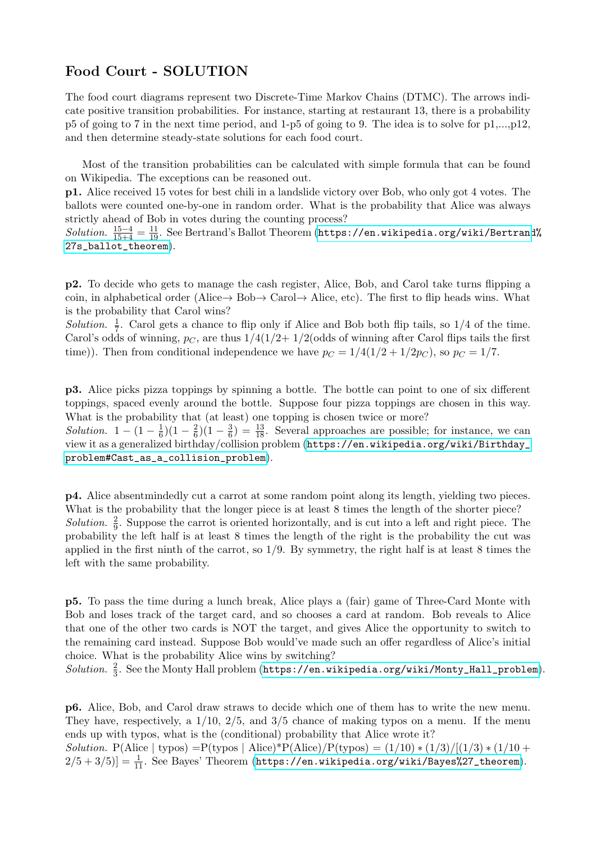## Food Court - SOLUTION

The food court diagrams represent two Discrete-Time Markov Chains (DTMC). The arrows indicate positive transition probabilities. For instance, starting at restaurant 13, there is a probability p5 of going to 7 in the next time period, and 1-p5 of going to 9. The idea is to solve for p1,...,p12, and then determine steady-state solutions for each food court.

Most of the transition probabilities can be calculated with simple formula that can be found on Wikipedia. The exceptions can be reasoned out.

p1. Alice received 15 votes for best chili in a landslide victory over Bob, who only got 4 votes. The ballots were counted one-by-one in random order. What is the probability that Alice was always strictly ahead of Bob in votes during the counting process?

Solution.  $\frac{15-4}{15+4} = \frac{11}{19}$ . See Bertrand's Ballot Theorem ([https://en.wikipedia.org/wiki/Bertrand](https://en.wikipedia.org/wiki/Bertrand%27s_ballot_theorem)%) [27s\\_ballot\\_theorem](https://en.wikipedia.org/wiki/Bertrand%27s_ballot_theorem)).

p2. To decide who gets to manage the cash register, Alice, Bob, and Carol take turns flipping a coin, in alphabetical order (Alice $\rightarrow$  Bob $\rightarrow$  Carol $\rightarrow$  Alice, etc). The first to flip heads wins. What is the probability that Carol wins?

Solution.  $\frac{1}{7}$ . Carol gets a chance to flip only if Alice and Bob both flip tails, so 1/4 of the time. Carol's odds of winning,  $p_C$ , are thus  $1/4(1/2+1/2)$  (odds of winning after Carol flips tails the first time)). Then from conditional independence we have  $p_C = 1/4(1/2 + 1/2p_C)$ , so  $p_C = 1/7$ .

p3. Alice picks pizza toppings by spinning a bottle. The bottle can point to one of six different toppings, spaced evenly around the bottle. Suppose four pizza toppings are chosen in this way. What is the probability that (at least) one topping is chosen twice or more? Solution.  $1 - \left(1 - \frac{1}{6}\right)$  $\frac{1}{6}$ )(1 –  $\frac{2}{6}$  $\frac{2}{6}$ )(1 –  $\frac{3}{6}$  $\frac{3}{6}$ ) =  $\frac{13}{18}$ . Several approaches are possible; for instance, we can view it as a generalized birthday/collision problem ([https://en.wikipedia.org/wiki/Birthday\\_](https://en.wikipedia.org/wiki/Birthday_problem#Cast_as_a_collision_problem) [problem#Cast\\_as\\_a\\_collision\\_problem](https://en.wikipedia.org/wiki/Birthday_problem#Cast_as_a_collision_problem)).

p4. Alice absentmindedly cut a carrot at some random point along its length, yielding two pieces. What is the probability that the longer piece is at least 8 times the length of the shorter piece? Solution.  $\frac{2}{9}$ . Suppose the carrot is oriented horizontally, and is cut into a left and right piece. The probability the left half is at least 8 times the length of the right is the probability the cut was applied in the first ninth of the carrot, so  $1/9$ . By symmetry, the right half is at least 8 times the left with the same probability.

p5. To pass the time during a lunch break, Alice plays a (fair) game of Three-Card Monte with Bob and loses track of the target card, and so chooses a card at random. Bob reveals to Alice that one of the other two cards is NOT the target, and gives Alice the opportunity to switch to the remaining card instead. Suppose Bob would've made such an offer regardless of Alice's initial choice. What is the probability Alice wins by switching?

 $Solution. \frac{2}{3}$ . See the Monty Hall problem ([https://en.wikipedia.org/wiki/Monty\\_Hall\\_problem](https://en.wikipedia.org/wiki/Monty_Hall_problem)).

p6. Alice, Bob, and Carol draw straws to decide which one of them has to write the new menu. They have, respectively, a  $1/10$ ,  $2/5$ , and  $3/5$  chance of making typos on a menu. If the menu ends up with typos, what is the (conditional) probability that Alice wrote it? Solution. P(Alice | typos) =P(typos | Alice)\*P(Alice)/P(typos) =  $(1/10) * (1/3)/[(1/3) * (1/10 +$  $2/5 + 3/5$ ] =  $\frac{1}{11}$ . See Bayes' Theorem ([https://en.wikipedia.org/wiki/Bayes%27\\_theorem](https://en.wikipedia.org/wiki/Bayes%27_theorem)).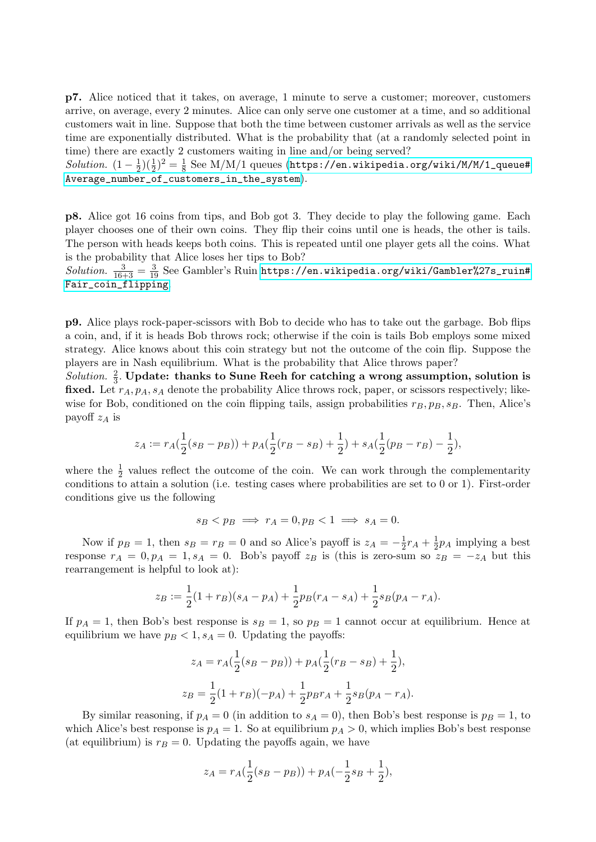p7. Alice noticed that it takes, on average, 1 minute to serve a customer; moreover, customers arrive, on average, every 2 minutes. Alice can only serve one customer at a time, and so additional customers wait in line. Suppose that both the time between customer arrivals as well as the service time are exponentially distributed. What is the probability that (at a randomly selected point in time) there are exactly 2 customers waiting in line and/or being served?

Solution.  $(1-\frac{1}{2})$  $(\frac{1}{2})(\frac{1}{2})^2 = \frac{1}{8}$  $\frac{1}{8}$  See M/M/1 queues ([https://en.wikipedia.org/wiki/M/M/1\\_queue#](https://en.wikipedia.org/wiki/M/M/1_queue#Average_number_of_customers_in_the_system) [Average\\_number\\_of\\_customers\\_in\\_the\\_system](https://en.wikipedia.org/wiki/M/M/1_queue#Average_number_of_customers_in_the_system)).

p8. Alice got 16 coins from tips, and Bob got 3. They decide to play the following game. Each player chooses one of their own coins. They flip their coins until one is heads, the other is tails. The person with heads keeps both coins. This is repeated until one player gets all the coins. What is the probability that Alice loses her tips to Bob?

 $Solution.$   $\frac{3}{16+3} = \frac{3}{19}$  See Gambler's Ruin <code>[https://en.wikipedia.org/wiki/Gambler%27s\\_ruin#](https://en.wikipedia.org/wiki/Gambler%27s_ruin#Fair_coin_flipping)</code> [Fair\\_coin\\_flipping](https://en.wikipedia.org/wiki/Gambler%27s_ruin#Fair_coin_flipping).

p9. Alice plays rock-paper-scissors with Bob to decide who has to take out the garbage. Bob flips a coin, and, if it is heads Bob throws rock; otherwise if the coin is tails Bob employs some mixed strategy. Alice knows about this coin strategy but not the outcome of the coin flip. Suppose the players are in Nash equilibrium. What is the probability that Alice throws paper?

Solution.  $\frac{2}{3}$ . Update: thanks to Sune Reeh for catching a wrong assumption, solution is fixed. Let  $r_A$ ,  $p_A$ ,  $s_A$  denote the probability Alice throws rock, paper, or scissors respectively; likewise for Bob, conditioned on the coin flipping tails, assign probabilities  $r_B, p_B, s_B$ . Then, Alice's payoff  $z_A$  is

$$
z_A := r_A(\frac{1}{2}(s_B - p_B)) + p_A(\frac{1}{2}(r_B - s_B) + \frac{1}{2}) + s_A(\frac{1}{2}(p_B - r_B) - \frac{1}{2}),
$$

where the  $\frac{1}{2}$  values reflect the outcome of the coin. We can work through the complementarity conditions to attain a solution (i.e. testing cases where probabilities are set to 0 or 1). First-order conditions give us the following

$$
s_B < p_B \implies r_A = 0, p_B < 1 \implies s_A = 0.
$$

Now if  $p_B = 1$ , then  $s_B = r_B = 0$  and so Alice's payoff is  $z_A = -\frac{1}{2}$  $rac{1}{2}r_A + \frac{1}{2}$  $\frac{1}{2}p_A$  implying a best response  $r_A = 0$ ,  $p_A = 1$ ,  $s_A = 0$ . Bob's payoff  $z_B$  is (this is zero-sum so  $z_B = -z_A$  but this rearrangement is helpful to look at):

$$
z_B := \frac{1}{2}(1+r_B)(s_A - p_A) + \frac{1}{2}p_B(r_A - s_A) + \frac{1}{2}s_B(p_A - r_A).
$$

If  $p_A = 1$ , then Bob's best response is  $s_B = 1$ , so  $p_B = 1$  cannot occur at equilibrium. Hence at equilibrium we have  $p_B < 1, s_A = 0$ . Updating the payoffs:

$$
z_A = r_A(\frac{1}{2}(s_B - p_B)) + p_A(\frac{1}{2}(r_B - s_B) + \frac{1}{2}),
$$
  

$$
z_B = \frac{1}{2}(1 + r_B)(-p_A) + \frac{1}{2}p_Br_A + \frac{1}{2}s_B(p_A - r_A).
$$

By similar reasoning, if  $p_A = 0$  (in addition to  $s_A = 0$ ), then Bob's best response is  $p_B = 1$ , to which Alice's best response is  $p_A = 1$ . So at equilibrium  $p_A > 0$ , which implies Bob's best response (at equilibrium) is  $r_B = 0$ . Updating the payoffs again, we have

$$
z_A = r_A(\frac{1}{2}(s_B - p_B)) + p_A(-\frac{1}{2}s_B + \frac{1}{2}),
$$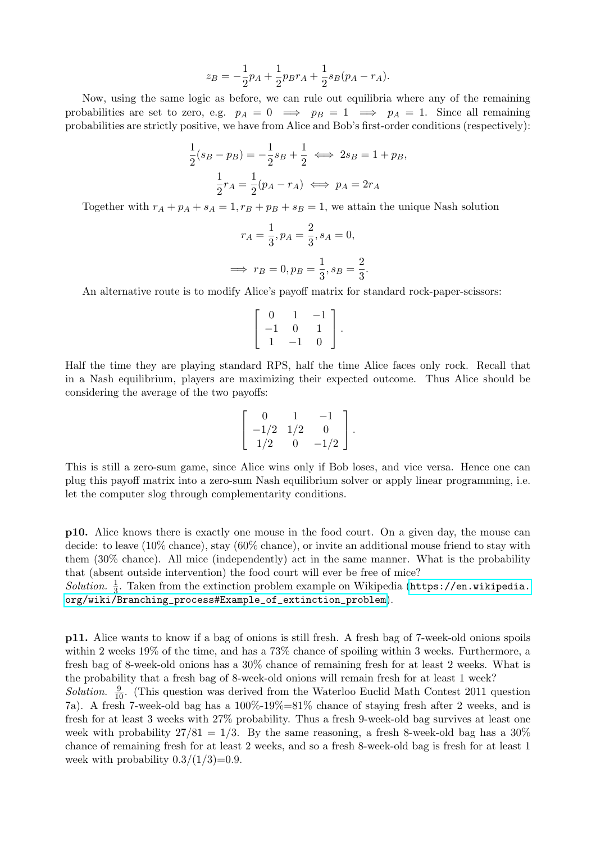$$
z_B = -\frac{1}{2}p_A + \frac{1}{2}p_Br_A + \frac{1}{2}s_B(p_A - r_A).
$$

Now, using the same logic as before, we can rule out equilibria where any of the remaining probabilities are set to zero, e.g.  $p_A = 0 \implies p_B = 1 \implies p_A = 1$ . Since all remaining probabilities are strictly positive, we have from Alice and Bob's first-order conditions (respectively):

$$
\frac{1}{2}(s_B - p_B) = -\frac{1}{2}s_B + \frac{1}{2} \iff 2s_B = 1 + p_B,
$$
  

$$
\frac{1}{2}r_A = \frac{1}{2}(p_A - r_A) \iff p_A = 2r_A
$$

Together with  $r_A + p_A + s_A = 1, r_B + p_B + s_B = 1$ , we attain the unique Nash solution

$$
r_A = \frac{1}{3}, p_A = \frac{2}{3}, s_A = 0,
$$
  

$$
\implies r_B = 0, p_B = \frac{1}{3}, s_B = \frac{2}{3}
$$

.

An alternative route is to modify Alice's payoff matrix for standard rock-paper-scissors:

$$
\left[\begin{array}{ccc} 0 & 1 & -1 \\ -1 & 0 & 1 \\ 1 & -1 & 0 \end{array}\right].
$$

Half the time they are playing standard RPS, half the time Alice faces only rock. Recall that in a Nash equilibrium, players are maximizing their expected outcome. Thus Alice should be considering the average of the two payoffs:

$$
\left[\begin{array}{ccc} 0 & 1 & -1 \\ -1/2 & 1/2 & 0 \\ 1/2 & 0 & -1/2 \end{array}\right].
$$

This is still a zero-sum game, since Alice wins only if Bob loses, and vice versa. Hence one can plug this payoff matrix into a zero-sum Nash equilibrium solver or apply linear programming, i.e. let the computer slog through complementarity conditions.

p10. Alice knows there is exactly one mouse in the food court. On a given day, the mouse can decide: to leave (10% chance), stay (60% chance), or invite an additional mouse friend to stay with them (30% chance). All mice (independently) act in the same manner. What is the probability that (absent outside intervention) the food court will ever be free of mice?

Solution.  $\frac{1}{3}$ . Taken from the extinction problem example on Wikipedia ([https://en.wikipedia.](https://en.wikipedia.org/wiki/Branching_process#Example_of_extinction_problem) [org/wiki/Branching\\_process#Example\\_of\\_extinction\\_problem](https://en.wikipedia.org/wiki/Branching_process#Example_of_extinction_problem)).

p11. Alice wants to know if a bag of onions is still fresh. A fresh bag of 7-week-old onions spoils within 2 weeks 19% of the time, and has a 73% chance of spoiling within 3 weeks. Furthermore, a fresh bag of 8-week-old onions has a 30% chance of remaining fresh for at least 2 weeks. What is the probability that a fresh bag of 8-week-old onions will remain fresh for at least 1 week?

Solution.  $\frac{9}{10}$ . (This question was derived from the Waterloo Euclid Math Contest 2011 question 7a). A fresh 7-week-old bag has a 100%-19%=81% chance of staying fresh after 2 weeks, and is fresh for at least 3 weeks with 27% probability. Thus a fresh 9-week-old bag survives at least one week with probability  $27/81 = 1/3$ . By the same reasoning, a fresh 8-week-old bag has a  $30\%$ chance of remaining fresh for at least 2 weeks, and so a fresh 8-week-old bag is fresh for at least 1 week with probability  $0.3/(1/3)=0.9$ .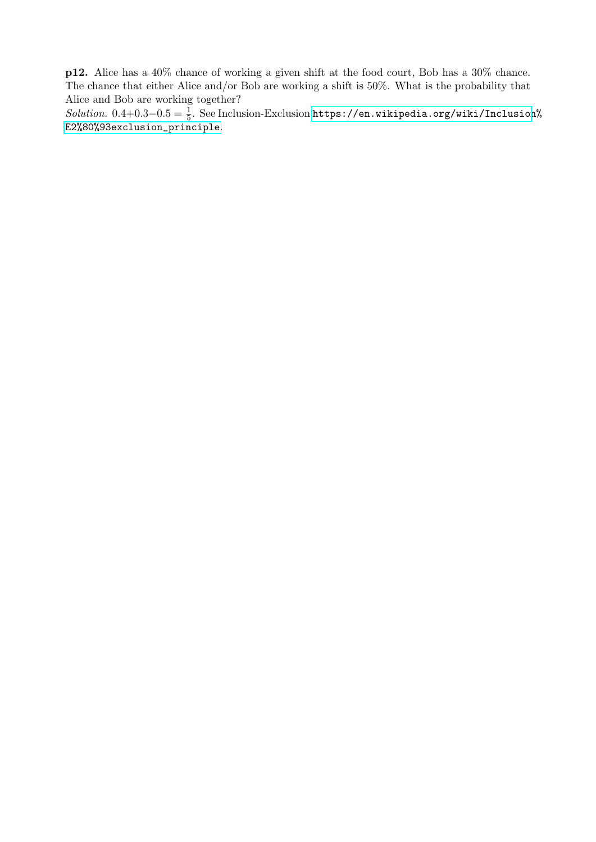p12. Alice has a 40% chance of working a given shift at the food court, Bob has a 30% chance. The chance that either Alice and/or Bob are working a shift is 50%. What is the probability that Alice and Bob are working together?

 $Solution. 0.4+0.3-0.5=\frac{1}{5}.$  See Inclusion-Exclusion [https://en.wikipedia.org/wiki/Inclusion](https://en.wikipedia.org/wiki/Inclusion%E2%80%93exclusion_principle)% [E2%80%93exclusion\\_principle](https://en.wikipedia.org/wiki/Inclusion%E2%80%93exclusion_principle).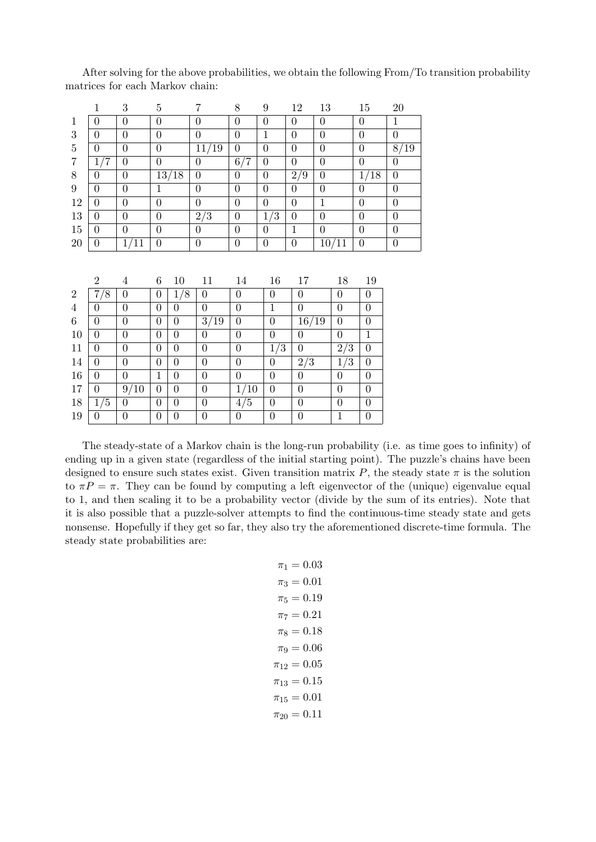|                | $\mathbf{1}$     | 3                 | $\overline{5}$   |                | $\overline{7}$   | 8                | 9                | 12               | 13               |                  | 15               | $20\,$            |
|----------------|------------------|-------------------|------------------|----------------|------------------|------------------|------------------|------------------|------------------|------------------|------------------|-------------------|
| $\mathbf{1}$   | $\boldsymbol{0}$ | $\boldsymbol{0}$  | $\overline{0}$   |                | $\overline{0}$   | $\boldsymbol{0}$ | $\overline{0}$   | $\overline{0}$   | $\boldsymbol{0}$ |                  | $\boldsymbol{0}$ | $\mathbf{1}$      |
| 3              | $\boldsymbol{0}$ | $\boldsymbol{0}$  | $\overline{0}$   |                | $\boldsymbol{0}$ | $\boldsymbol{0}$ | $\mathbf{1}$     | $\overline{0}$   | $\boldsymbol{0}$ |                  | $\boldsymbol{0}$ | $\boldsymbol{0}$  |
| $\bf 5$        | $\boldsymbol{0}$ | $\boldsymbol{0}$  | $\boldsymbol{0}$ |                | 11/19            | $\boldsymbol{0}$ | $\overline{0}$   | $\overline{0}$   | $\boldsymbol{0}$ |                  | $\boldsymbol{0}$ | $\overline{8/19}$ |
| $\overline{7}$ | 1/7              | $\overline{0}$    | $\overline{0}$   |                | $\boldsymbol{0}$ | 6/7              | $\overline{0}$   | $\overline{0}$   | $\boldsymbol{0}$ |                  | $\overline{0}$   | $\overline{0}$    |
| 8              | $\boldsymbol{0}$ | $\boldsymbol{0}$  |                  | 13/18          | $\boldsymbol{0}$ | $\boldsymbol{0}$ | $\overline{0}$   | 2/9              | $\boldsymbol{0}$ |                  | 1/18             | $\overline{0}$    |
| 9              | $\overline{0}$   | $\overline{0}$    | $\overline{1}$   |                | $\overline{0}$   | $\overline{0}$   | $\overline{0}$   | $\overline{0}$   | $\overline{0}$   |                  | $\overline{0}$   | $\overline{0}$    |
| 12             | $\overline{0}$   | $\boldsymbol{0}$  | $\overline{0}$   |                | $\overline{0}$   | $\overline{0}$   | $\overline{0}$   | $\overline{0}$   | $\mathbf{1}$     |                  | $\overline{0}$   | $\overline{0}$    |
| 13             | $\boldsymbol{0}$ | $\boldsymbol{0}$  | $\boldsymbol{0}$ |                | $2/\overline{3}$ | $\boldsymbol{0}$ | $1/\overline{3}$ | $\boldsymbol{0}$ | $\boldsymbol{0}$ |                  | $\boldsymbol{0}$ | $\boldsymbol{0}$  |
| 15             | $\overline{0}$   | $\boldsymbol{0}$  | $\overline{0}$   |                | $\boldsymbol{0}$ | $\overline{0}$   | $\boldsymbol{0}$ | $\mathbf{1}$     | $\overline{0}$   |                  | $\boldsymbol{0}$ | $\boldsymbol{0}$  |
| $20\,$         | $\overline{0}$   | $1/1\overline{1}$ | $\overline{0}$   |                | $\boldsymbol{0}$ | $\boldsymbol{0}$ | $\overline{0}$   | $\boldsymbol{0}$ |                  | 10/11            | $\boldsymbol{0}$ | $\boldsymbol{0}$  |
|                |                  |                   |                  |                |                  |                  |                  |                  |                  |                  |                  |                   |
|                |                  |                   |                  |                |                  |                  |                  |                  |                  |                  |                  |                   |
|                | $\overline{2}$   | $\overline{4}$    | 6                | 10             | 11               | 14               | 16               | 17               |                  | 18               | 19               |                   |
| $\overline{2}$ | 7/8              | $\boldsymbol{0}$  | $\overline{0}$   | 1/8            | $\boldsymbol{0}$ | $\overline{0}$   | $\boldsymbol{0}$ | $\boldsymbol{0}$ |                  | $\boldsymbol{0}$ | $\overline{0}$   |                   |
| $\overline{4}$ | $\overline{0}$   | $\overline{0}$    | $\overline{0}$   | $\overline{0}$ | $\overline{0}$   | $\overline{0}$   | $\mathbf{1}$     | $\overline{0}$   |                  | $\overline{0}$   | $\overline{0}$   |                   |
| 6              | $\boldsymbol{0}$ | $\boldsymbol{0}$  | $\overline{0}$   | $\overline{0}$ | 3/19             | $\overline{0}$   | $\overline{0}$   | 16/19            |                  | $\overline{0}$   | $\theta$         |                   |
| 10             | $\overline{0}$   | $\boldsymbol{0}$  | $\overline{0}$   | $\theta$       | $\overline{0}$   | $\overline{0}$   | $\overline{0}$   | $\boldsymbol{0}$ |                  | $\theta$         | $\mathbf{1}$     |                   |
| 11             | $\overline{0}$   | $\boldsymbol{0}$  | $\overline{0}$   | $\overline{0}$ | $\boldsymbol{0}$ | $\boldsymbol{0}$ | 1/3              | $\boldsymbol{0}$ |                  | 2/3              | $\overline{0}$   |                   |
| 14             | $\overline{0}$   | $\boldsymbol{0}$  | $\overline{0}$   | $\overline{0}$ | $\boldsymbol{0}$ | $\boldsymbol{0}$ | $\boldsymbol{0}$ | $\sqrt{2/3}$     |                  | 1/3              | $\overline{0}$   |                   |
| $16\,$         | $\overline{0}$   | $\overline{0}$    | $\mathbf{1}$     | $\overline{0}$ | $\overline{0}$   | $\boldsymbol{0}$ | $\overline{0}$   | $\overline{0}$   |                  | $\overline{0}$   | $\overline{0}$   |                   |
| 17             | $\boldsymbol{0}$ | 9/10              | $\overline{0}$   | $\overline{0}$ | $\boldsymbol{0}$ | 1/10             | $\boldsymbol{0}$ | $\boldsymbol{0}$ |                  | $\overline{0}$   | $\overline{0}$   |                   |
| 18             | 1/5              | $\overline{0}$    | $\overline{0}$   | $\overline{0}$ | $\overline{0}$   | $4/\overline{5}$ | $\boldsymbol{0}$ | $\overline{0}$   |                  | $\overline{0}$   | $\overline{0}$   |                   |
| 19             | $\overline{0}$   | $\overline{0}$    | $\boldsymbol{0}$ | $\overline{0}$ | $\overline{0}$   | $\boldsymbol{0}$ | $\overline{0}$   | $\overline{0}$   |                  | $\overline{1}$   | $\boldsymbol{0}$ |                   |

After solving for the above probabilities, we obtain the following From/To transition probability matrices for each Markov chain:

The steady-state of a Markov chain is the long-run probability (i.e. as time goes to infinity) of ending up in a given state (regardless of the initial starting point). The puzzle's chains have been designed to ensure such states exist. Given transition matrix P, the steady state  $\pi$  is the solution to  $\pi P = \pi$ . They can be found by computing a left eigenvector of the (unique) eigenvalue equal to 1, and then scaling it to be a probability vector (divide by the sum of its entries). Note that it is also possible that a puzzle-solver attempts to find the continuous-time steady state and gets nonsense. Hopefully if they get so far, they also try the aforementioned discrete-time formula. The steady state probabilities are:

$$
\pi_1 = 0.03
$$
  
\n
$$
\pi_3 = 0.01
$$
  
\n
$$
\pi_5 = 0.19
$$
  
\n
$$
\pi_7 = 0.21
$$
  
\n
$$
\pi_8 = 0.18
$$
  
\n
$$
\pi_9 = 0.06
$$
  
\n
$$
\pi_{12} = 0.05
$$
  
\n
$$
\pi_{13} = 0.15
$$
  
\n
$$
\pi_{15} = 0.01
$$
  
\n
$$
\pi_{20} = 0.11
$$